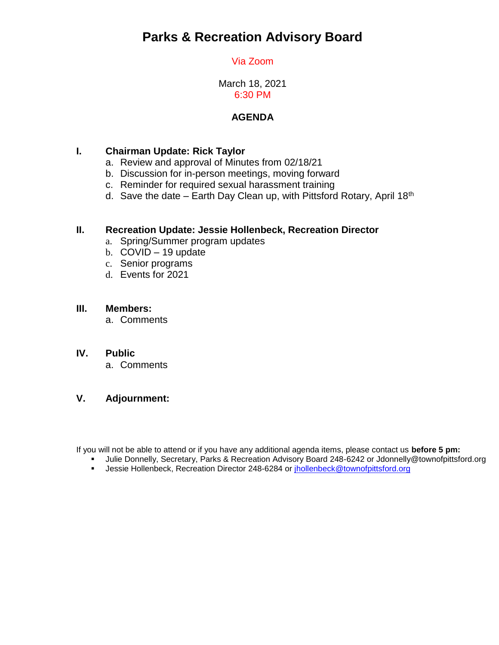# **Parks & Recreation Advisory Board**

## Via Zoom

March 18, 2021 6:30 PM

## **AGENDA**

## **I. Chairman Update: Rick Taylor**

- a. Review and approval of Minutes from 02/18/21
- b. Discussion for in-person meetings, moving forward
- c. Reminder for required sexual harassment training
- d. Save the date Earth Day Clean up, with Pittsford Rotary, April 18<sup>th</sup>

### **II. Recreation Update: Jessie Hollenbeck, Recreation Director**

- a. Spring/Summer program updates
- b. COVID 19 update
- c. Senior programs
- d. Events for 2021

#### **III. Members:**

a. Comments

#### **IV. Public**

a. Comments

### **V. Adjournment:**

If you will not be able to attend or if you have any additional agenda items, please contact us **before 5 pm:** 

- Julie Donnelly, Secretary, Parks & Recreation Advisory Board 248-6242 or Jdonnelly@townofpittsford.org
- **Jessie Hollenbeck, Recreation Director 248-6284 or [jhollenbeck@townofpittsford.org](mailto:jhollenbeck@townofpittsford.org)**